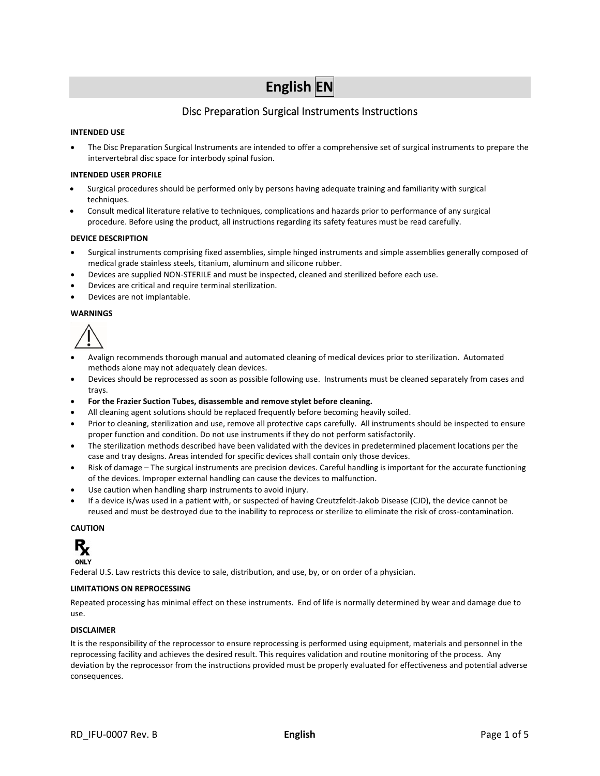# **English EN**

## Disc Preparation Surgical Instruments Instructions

### **INTENDED USE**

 The Disc Preparation Surgical Instruments are intended to offer a comprehensive set of surgical instruments to prepare the intervertebral disc space for interbody spinal fusion.

#### **INTENDED USER PROFILE**

- Surgical procedures should be performed only by persons having adequate training and familiarity with surgical techniques.
- Consult medical literature relative to techniques, complications and hazards prior to performance of any surgical procedure. Before using the product, all instructions regarding its safety features must be read carefully.

#### **DEVICE DESCRIPTION**

- Surgical instruments comprising fixed assemblies, simple hinged instruments and simple assemblies generally composed of medical grade stainless steels, titanium, aluminum and silicone rubber.
- Devices are supplied NON‐STERILE and must be inspected, cleaned and sterilized before each use.
- Devices are critical and require terminal sterilization.
- Devices are not implantable.

#### **WARNINGS**



- Avalign recommends thorough manual and automated cleaning of medical devices prior to sterilization. Automated methods alone may not adequately clean devices.
- Devices should be reprocessed as soon as possible following use. Instruments must be cleaned separately from cases and trays.
- **For the Frazier Suction Tubes, disassemble and remove stylet before cleaning.**
- All cleaning agent solutions should be replaced frequently before becoming heavily soiled.
- Prior to cleaning, sterilization and use, remove all protective caps carefully. All instruments should be inspected to ensure proper function and condition. Do not use instruments if they do not perform satisfactorily.
- The sterilization methods described have been validated with the devices in predetermined placement locations per the case and tray designs. Areas intended for specific devices shall contain only those devices.
- Risk of damage The surgical instruments are precision devices. Careful handling is important for the accurate functioning of the devices. Improper external handling can cause the devices to malfunction.
- Use caution when handling sharp instruments to avoid injury.
- If a device is/was used in a patient with, or suspected of having Creutzfeldt‐Jakob Disease (CJD), the device cannot be reused and must be destroyed due to the inability to reprocess or sterilize to eliminate the risk of cross-contamination.

#### **CAUTION**



Federal U.S. Law restricts this device to sale, distribution, and use, by, or on order of a physician.

#### **LIMITATIONS ON REPROCESSING**

Repeated processing has minimal effect on these instruments. End of life is normally determined by wear and damage due to use.

#### **DISCLAIMER**

It is the responsibility of the reprocessor to ensure reprocessing is performed using equipment, materials and personnel in the reprocessing facility and achieves the desired result. This requires validation and routine monitoring of the process. Any deviation by the reprocessor from the instructions provided must be properly evaluated for effectiveness and potential adverse consequences.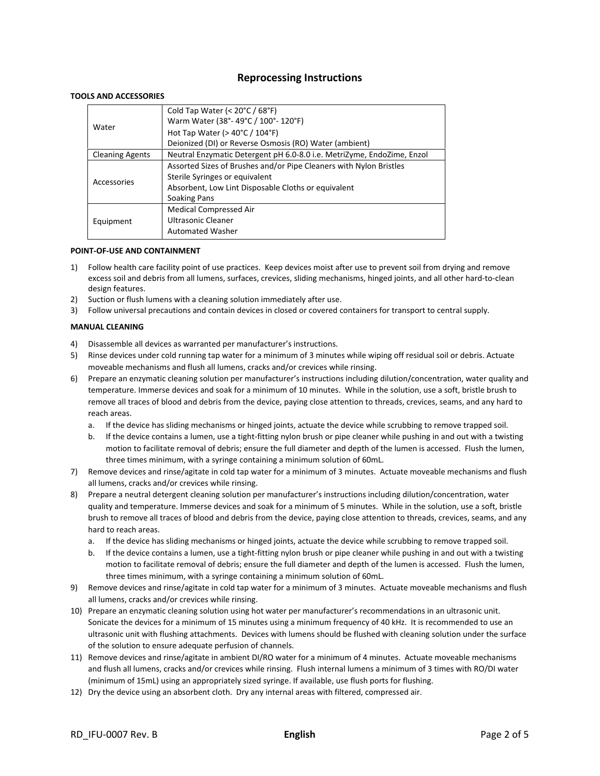## **Reprocessing Instructions**

#### **TOOLS AND ACCESSORIES**

|                        | Cold Tap Water (< $20^{\circ}$ C / 68 $^{\circ}$ F)                    |
|------------------------|------------------------------------------------------------------------|
| Water                  | Warm Water (38°-49°C / 100°-120°F)                                     |
|                        | Hot Tap Water ( $>$ 40 $\degree$ C / 104 $\degree$ F)                  |
|                        | Deionized (DI) or Reverse Osmosis (RO) Water (ambient)                 |
| <b>Cleaning Agents</b> | Neutral Enzymatic Detergent pH 6.0-8.0 i.e. MetriZyme, EndoZime, Enzol |
| Accessories            | Assorted Sizes of Brushes and/or Pipe Cleaners with Nylon Bristles     |
|                        | Sterile Syringes or equivalent                                         |
|                        | Absorbent, Low Lint Disposable Cloths or equivalent                    |
|                        | Soaking Pans                                                           |
|                        | <b>Medical Compressed Air</b>                                          |
| Equipment              | Ultrasonic Cleaner                                                     |
|                        | <b>Automated Washer</b>                                                |

#### **POINT‐OF‐USE AND CONTAINMENT**

- 1) Follow health care facility point of use practices. Keep devices moist after use to prevent soil from drying and remove excess soil and debris from all lumens, surfaces, crevices, sliding mechanisms, hinged joints, and all other hard‐to‐clean design features.
- 2) Suction or flush lumens with a cleaning solution immediately after use.
- 3) Follow universal precautions and contain devices in closed or covered containers for transport to central supply.

#### **MANUAL CLEANING**

- 4) Disassemble all devices as warranted per manufacturer's instructions.
- 5) Rinse devices under cold running tap water for a minimum of 3 minutes while wiping off residual soil or debris. Actuate moveable mechanisms and flush all lumens, cracks and/or crevices while rinsing.
- 6) Prepare an enzymatic cleaning solution per manufacturer's instructions including dilution/concentration, water quality and temperature. Immerse devices and soak for a minimum of 10 minutes. While in the solution, use a soft, bristle brush to remove all traces of blood and debris from the device, paying close attention to threads, crevices, seams, and any hard to reach areas.
	- a. If the device has sliding mechanisms or hinged joints, actuate the device while scrubbing to remove trapped soil.
	- b. If the device contains a lumen, use a tight‐fitting nylon brush or pipe cleaner while pushing in and out with a twisting motion to facilitate removal of debris; ensure the full diameter and depth of the lumen is accessed. Flush the lumen, three times minimum, with a syringe containing a minimum solution of 60mL.
- 7) Remove devices and rinse/agitate in cold tap water for a minimum of 3 minutes. Actuate moveable mechanisms and flush all lumens, cracks and/or crevices while rinsing.
- 8) Prepare a neutral detergent cleaning solution per manufacturer's instructions including dilution/concentration, water quality and temperature. Immerse devices and soak for a minimum of 5 minutes. While in the solution, use a soft, bristle brush to remove all traces of blood and debris from the device, paying close attention to threads, crevices, seams, and any hard to reach areas.
	- a. If the device has sliding mechanisms or hinged joints, actuate the device while scrubbing to remove trapped soil.
	- b. If the device contains a lumen, use a tight‐fitting nylon brush or pipe cleaner while pushing in and out with a twisting motion to facilitate removal of debris; ensure the full diameter and depth of the lumen is accessed. Flush the lumen, three times minimum, with a syringe containing a minimum solution of 60mL.
- 9) Remove devices and rinse/agitate in cold tap water for a minimum of 3 minutes. Actuate moveable mechanisms and flush all lumens, cracks and/or crevices while rinsing.
- 10) Prepare an enzymatic cleaning solution using hot water per manufacturer's recommendations in an ultrasonic unit. Sonicate the devices for a minimum of 15 minutes using a minimum frequency of 40 kHz. It is recommended to use an ultrasonic unit with flushing attachments. Devices with lumens should be flushed with cleaning solution under the surface of the solution to ensure adequate perfusion of channels.
- 11) Remove devices and rinse/agitate in ambient DI/RO water for a minimum of 4 minutes. Actuate moveable mechanisms and flush all lumens, cracks and/or crevices while rinsing. Flush internal lumens a minimum of 3 times with RO/DI water (minimum of 15mL) using an appropriately sized syringe. If available, use flush ports for flushing.
- 12) Dry the device using an absorbent cloth. Dry any internal areas with filtered, compressed air.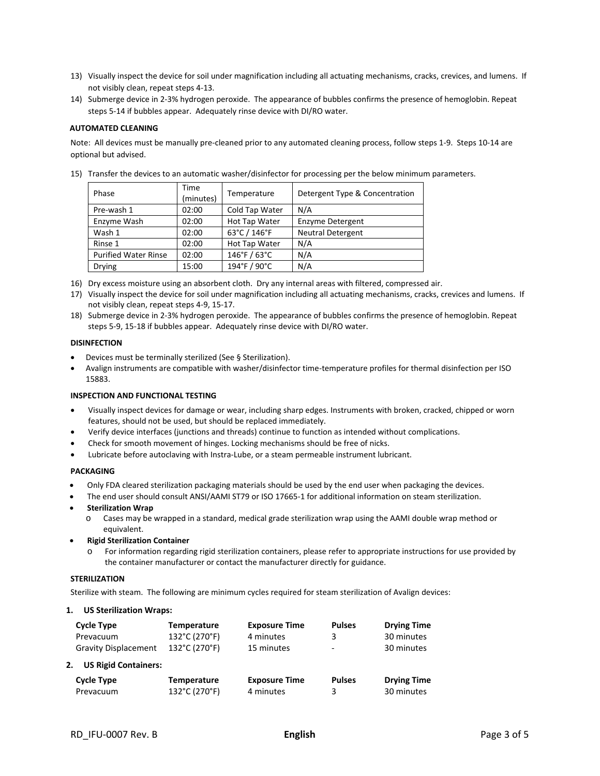- 13) Visually inspect the device for soil under magnification including all actuating mechanisms, cracks, crevices, and lumens. If not visibly clean, repeat steps 4‐13.
- 14) Submerge device in 2‐3% hydrogen peroxide. The appearance of bubbles confirms the presence of hemoglobin. Repeat steps 5‐14 if bubbles appear. Adequately rinse device with DI/RO water.

#### **AUTOMATED CLEANING**

Note: All devices must be manually pre‐cleaned prior to any automated cleaning process, follow steps 1‐9. Steps 10‐14 are optional but advised.

15) Transfer the devices to an automatic washer/disinfector for processing per the below minimum parameters.

| Phase                       | Time<br>(minutes) | Temperature    | Detergent Type & Concentration |
|-----------------------------|-------------------|----------------|--------------------------------|
| Pre-wash 1                  | 02:00             | Cold Tap Water | N/A                            |
| Enzyme Wash                 | 02:00             | Hot Tap Water  | <b>Enzyme Detergent</b>        |
| Wash 1                      | 02:00             | 63°C / 146°F   | <b>Neutral Detergent</b>       |
| Rinse 1                     | 02:00             | Hot Tap Water  | N/A                            |
| <b>Purified Water Rinse</b> | 02:00             | 146°F / 63°C   | N/A                            |
| <b>Drying</b>               | 15:00             | 194°F / 90°C   | N/A                            |

- 16) Dry excess moisture using an absorbent cloth. Dry any internal areas with filtered, compressed air.
- 17) Visually inspect the device for soil under magnification including all actuating mechanisms, cracks, crevices and lumens. If not visibly clean, repeat steps 4‐9, 15‐17.
- 18) Submerge device in 2‐3% hydrogen peroxide. The appearance of bubbles confirms the presence of hemoglobin. Repeat steps 5‐9, 15‐18 if bubbles appear. Adequately rinse device with DI/RO water.

#### **DISINFECTION**

- Devices must be terminally sterilized (See § Sterilization).
- Avalign instruments are compatible with washer/disinfector time‐temperature profiles for thermal disinfection per ISO 15883.

#### **INSPECTION AND FUNCTIONAL TESTING**

- Visually inspect devices for damage or wear, including sharp edges. Instruments with broken, cracked, chipped or worn features, should not be used, but should be replaced immediately.
- Verify device interfaces (junctions and threads) continue to function as intended without complications.
- Check for smooth movement of hinges. Locking mechanisms should be free of nicks.
- Lubricate before autoclaving with Instra‐Lube, or a steam permeable instrument lubricant.

#### **PACKAGING**

- Only FDA cleared sterilization packaging materials should be used by the end user when packaging the devices.
- The end user should consult ANSI/AAMI ST79 or ISO 17665‐1 for additional information on steam sterilization.
- **Sterilization Wrap**
	- o Cases may be wrapped in a standard, medical grade sterilization wrap using the AAMI double wrap method or equivalent.
- **Rigid Sterilization Container**
	- o For information regarding rigid sterilization containers, please refer to appropriate instructions for use provided by the container manufacturer or contact the manufacturer directly for guidance.

#### **STERILIZATION**

Sterilize with steam. The following are minimum cycles required for steam sterilization of Avalign devices:

#### **1. US Sterilization Wraps:**

| Cycle Type                        | <b>Temperature</b> | <b>Exposure Time</b> | <b>Pulses</b>            | <b>Drying Time</b> |
|-----------------------------------|--------------------|----------------------|--------------------------|--------------------|
| Prevacuum                         | 132°C (270°F)      | 4 minutes            | 3                        | 30 minutes         |
| <b>Gravity Displacement</b>       | 132°C (270°F)      | 15 minutes           | $\overline{\phantom{0}}$ | 30 minutes         |
| <b>US Rigid Containers:</b><br>2. |                    |                      |                          |                    |
| <b>Cycle Type</b>                 | <b>Temperature</b> | <b>Exposure Time</b> | <b>Pulses</b>            | <b>Drying Time</b> |
| Prevacuum                         | 132°C (270°F)      | 4 minutes            | 3                        | 30 minutes         |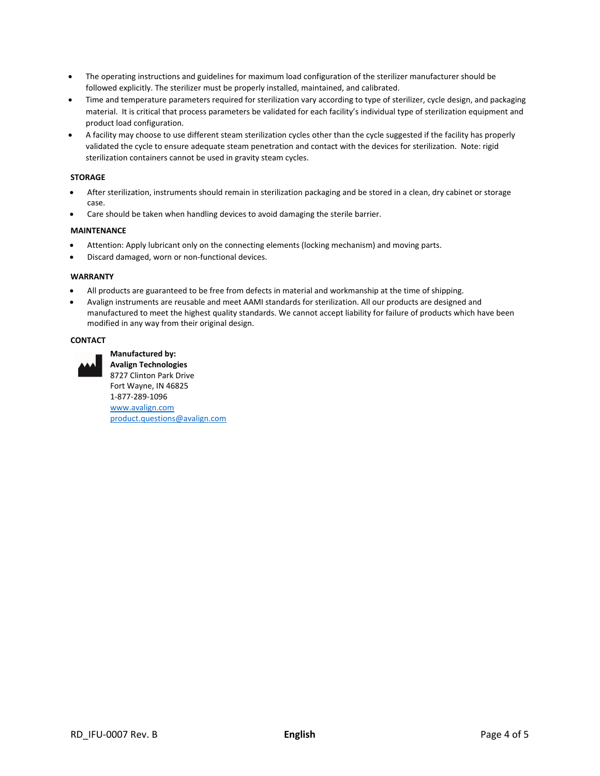- The operating instructions and guidelines for maximum load configuration of the sterilizer manufacturer should be followed explicitly. The sterilizer must be properly installed, maintained, and calibrated.
- Time and temperature parameters required for sterilization vary according to type of sterilizer, cycle design, and packaging material. It is critical that process parameters be validated for each facility's individual type of sterilization equipment and product load configuration.
- A facility may choose to use different steam sterilization cycles other than the cycle suggested if the facility has properly validated the cycle to ensure adequate steam penetration and contact with the devices for sterilization. Note: rigid sterilization containers cannot be used in gravity steam cycles.

## **STORAGE**

- After sterilization, instruments should remain in sterilization packaging and be stored in a clean, dry cabinet or storage case.
- Care should be taken when handling devices to avoid damaging the sterile barrier.

#### **MAINTENANCE**

- Attention: Apply lubricant only on the connecting elements (locking mechanism) and moving parts.
- Discard damaged, worn or non‐functional devices.

#### **WARRANTY**

- All products are guaranteed to be free from defects in material and workmanship at the time of shipping.
- Avalign instruments are reusable and meet AAMI standards for sterilization. All our products are designed and manufactured to meet the highest quality standards. We cannot accept liability for failure of products which have been modified in any way from their original design.

#### **CONTACT**



**Manufactured by: Avalign Technologies**  8727 Clinton Park Drive Fort Wayne, IN 46825 1‐877‐289‐1096 www.avalign.com product.questions@avalign.com